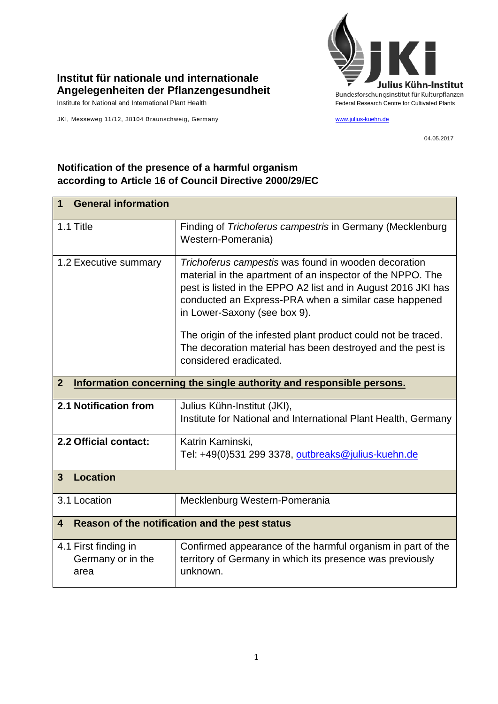

## **Institut für nationale und internationale Angelegenheiten der Pflanzengesundheit**

JKI, Messeweg 11/12, 38104 Braunschweig, Germany [www.julius-kuehn.de](http://www.julius-kuehn.de/)

04.05.2017

## **Notification of the presence of a harmful organism according to Article 16 of Council Directive 2000/29/EC**

| <b>General information</b><br>1                                                        |                                                                                                                                                                                                                                                                              |  |
|----------------------------------------------------------------------------------------|------------------------------------------------------------------------------------------------------------------------------------------------------------------------------------------------------------------------------------------------------------------------------|--|
| 1.1 Title                                                                              | Finding of Trichoferus campestris in Germany (Mecklenburg<br>Western-Pomerania)                                                                                                                                                                                              |  |
| 1.2 Executive summary                                                                  | Trichoferus campestis was found in wooden decoration<br>material in the apartment of an inspector of the NPPO. The<br>pest is listed in the EPPO A2 list and in August 2016 JKI has<br>conducted an Express-PRA when a similar case happened<br>in Lower-Saxony (see box 9). |  |
|                                                                                        | The origin of the infested plant product could not be traced.<br>The decoration material has been destroyed and the pest is<br>considered eradicated.                                                                                                                        |  |
| Information concerning the single authority and responsible persons.<br>$\overline{2}$ |                                                                                                                                                                                                                                                                              |  |
| 2.1 Notification from                                                                  | Julius Kühn-Institut (JKI),<br>Institute for National and International Plant Health, Germany                                                                                                                                                                                |  |
| 2.2 Official contact:                                                                  | Katrin Kaminski,<br>Tel: +49(0)531 299 3378, outbreaks@julius-kuehn.de                                                                                                                                                                                                       |  |
| <b>Location</b><br>3                                                                   |                                                                                                                                                                                                                                                                              |  |
| 3.1 Location                                                                           | Mecklenburg Western-Pomerania                                                                                                                                                                                                                                                |  |
| Reason of the notification and the pest status<br>$\overline{\mathbf{4}}$              |                                                                                                                                                                                                                                                                              |  |
| 4.1 First finding in<br>Germany or in the<br>area                                      | Confirmed appearance of the harmful organism in part of the<br>territory of Germany in which its presence was previously<br>unknown.                                                                                                                                         |  |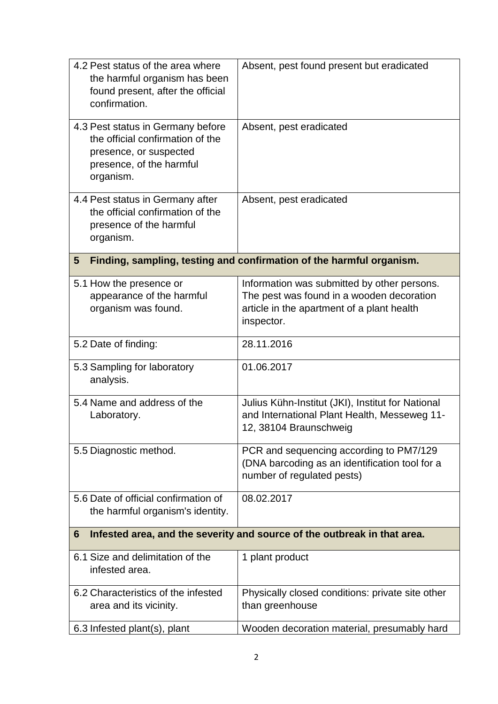| 4.2 Pest status of the area where<br>the harmful organism has been<br>found present, after the official<br>confirmation.                 | Absent, pest found present but eradicated                                                                                                            |  |
|------------------------------------------------------------------------------------------------------------------------------------------|------------------------------------------------------------------------------------------------------------------------------------------------------|--|
| 4.3 Pest status in Germany before<br>the official confirmation of the<br>presence, or suspected<br>presence, of the harmful<br>organism. | Absent, pest eradicated                                                                                                                              |  |
| 4.4 Pest status in Germany after<br>the official confirmation of the<br>presence of the harmful<br>organism.                             | Absent, pest eradicated                                                                                                                              |  |
| Finding, sampling, testing and confirmation of the harmful organism.<br>5                                                                |                                                                                                                                                      |  |
| 5.1 How the presence or<br>appearance of the harmful<br>organism was found.                                                              | Information was submitted by other persons.<br>The pest was found in a wooden decoration<br>article in the apartment of a plant health<br>inspector. |  |
| 5.2 Date of finding:                                                                                                                     | 28.11.2016                                                                                                                                           |  |
| 5.3 Sampling for laboratory<br>analysis.                                                                                                 | 01.06.2017                                                                                                                                           |  |
| 5.4 Name and address of the<br>Laboratory.                                                                                               | Julius Kühn-Institut (JKI), Institut for National<br>and International Plant Health, Messeweg 11-<br>12, 38104 Braunschweig                          |  |
| 5.5 Diagnostic method.                                                                                                                   | PCR and sequencing according to PM7/129<br>(DNA barcoding as an identification tool for a<br>number of regulated pests)                              |  |
| 5.6 Date of official confirmation of<br>the harmful organism's identity.                                                                 | 08.02.2017                                                                                                                                           |  |
| Infested area, and the severity and source of the outbreak in that area.<br>6                                                            |                                                                                                                                                      |  |
| 6.1 Size and delimitation of the<br>infested area.                                                                                       | 1 plant product                                                                                                                                      |  |
| 6.2 Characteristics of the infested<br>area and its vicinity.                                                                            | Physically closed conditions: private site other<br>than greenhouse                                                                                  |  |
| 6.3 Infested plant(s), plant                                                                                                             | Wooden decoration material, presumably hard                                                                                                          |  |